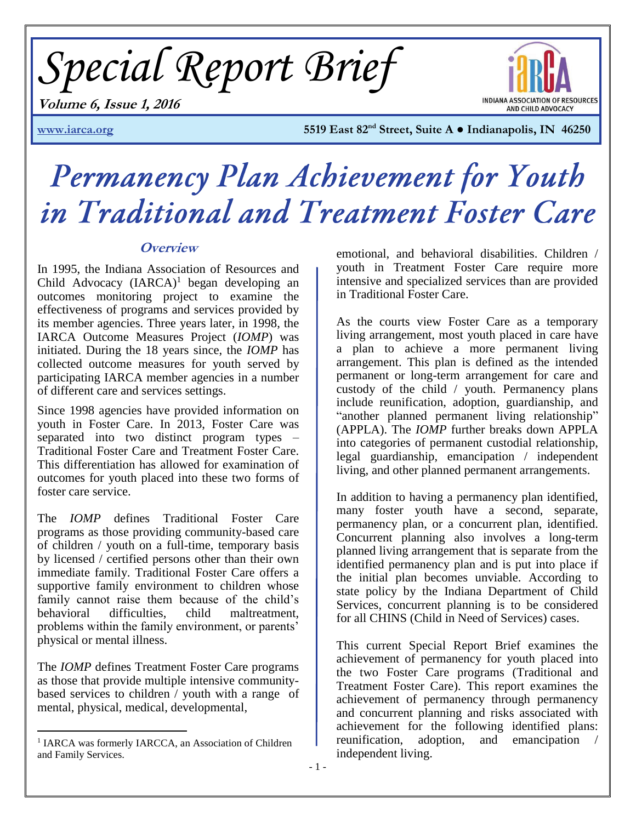*Special Report Brief*



**Volume 6, Issue 1, 2016**

**[www.iarca.org](http://www.iarca.org/) 5519 East 82nd Street, Suite A ● Indianapolis, IN 46250** 

# Permanency Plan Achievement for Youth in Traditional and Treatment Foster Care

# **Overview**

In 1995, the Indiana Association of Resources and Child Advocacy  $(IARCA)^1$  began developing an outcomes monitoring project to examine the effectiveness of programs and services provided by its member agencies. Three years later, in 1998, the IARCA Outcome Measures Project (*IOMP*) was initiated. During the 18 years since, the *IOMP* has collected outcome measures for youth served by participating IARCA member agencies in a number of different care and services settings.

Since 1998 agencies have provided information on youth in Foster Care. In 2013, Foster Care was separated into two distinct program types – Traditional Foster Care and Treatment Foster Care. This differentiation has allowed for examination of outcomes for youth placed into these two forms of foster care service.

The *IOMP* defines Traditional Foster Care programs as those providing community-based care of children / youth on a full-time, temporary basis by licensed / certified persons other than their own immediate family. Traditional Foster Care offers a supportive family environment to children whose family cannot raise them because of the child's behavioral difficulties, child maltreatment, problems within the family environment, or parents' physical or mental illness.

The *IOMP* defines Treatment Foster Care programs as those that provide multiple intensive communitybased services to children / youth with a range of mental, physical, medical, developmental,

emotional, and behavioral disabilities. Children / youth in Treatment Foster Care require more intensive and specialized services than are provided in Traditional Foster Care.

As the courts view Foster Care as a temporary living arrangement, most youth placed in care have a plan to achieve a more permanent living arrangement. This plan is defined as the intended permanent or long-term arrangement for care and custody of the child / youth. Permanency plans include reunification, adoption, guardianship, and "another planned permanent living relationship" (APPLA). The *IOMP* further breaks down APPLA into categories of permanent custodial relationship, legal guardianship, emancipation / independent living, and other planned permanent arrangements.

In addition to having a permanency plan identified, many foster youth have a second, separate, permanency plan, or a concurrent plan, identified. Concurrent planning also involves a long-term planned living arrangement that is separate from the identified permanency plan and is put into place if the initial plan becomes unviable. According to state policy by the Indiana Department of Child Services, concurrent planning is to be considered for all CHINS (Child in Need of Services) cases.

This current Special Report Brief examines the achievement of permanency for youth placed into the two Foster Care programs (Traditional and Treatment Foster Care). This report examines the achievement of permanency through permanency and concurrent planning and risks associated with achievement for the following identified plans: reunification, adoption, and emancipation / independent living.

<sup>&</sup>lt;sup>1</sup> IARCA was formerly IARCCA, an Association of Children and Family Services.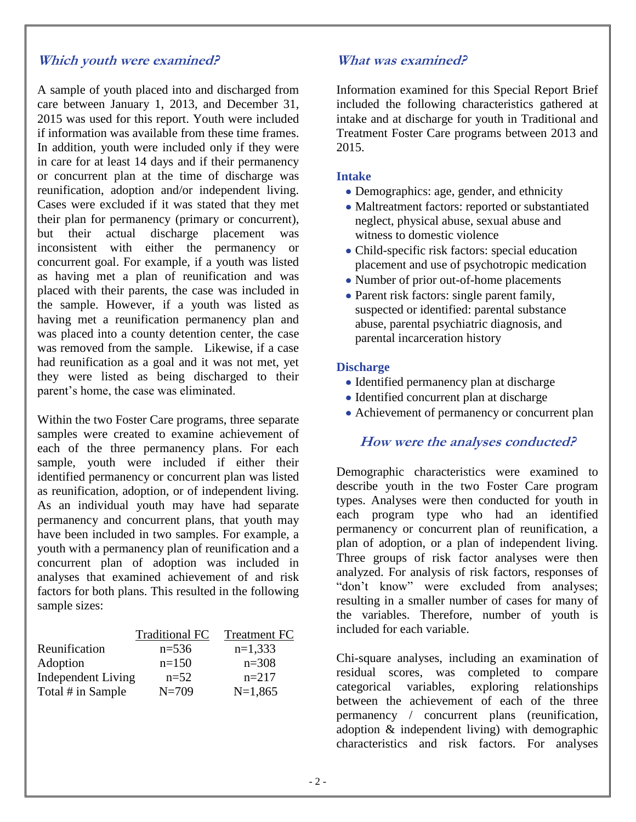# **Which youth were examined?**

A sample of youth placed into and discharged from care between January 1, 2013, and December 31, 2015 was used for this report. Youth were included if information was available from these time frames. In addition, youth were included only if they were in care for at least 14 days and if their permanency or concurrent plan at the time of discharge was reunification, adoption and/or independent living. Cases were excluded if it was stated that they met their plan for permanency (primary or concurrent), but their actual discharge placement was inconsistent with either the permanency or concurrent goal. For example, if a youth was listed as having met a plan of reunification and was placed with their parents, the case was included in the sample. However, if a youth was listed as having met a reunification permanency plan and was placed into a county detention center, the case was removed from the sample. Likewise, if a case had reunification as a goal and it was not met, yet they were listed as being discharged to their parent's home, the case was eliminated.

Within the two Foster Care programs, three separate samples were created to examine achievement of each of the three permanency plans. For each sample, youth were included if either their identified permanency or concurrent plan was listed as reunification, adoption, or of independent living. As an individual youth may have had separate permanency and concurrent plans, that youth may have been included in two samples. For example, a youth with a permanency plan of reunification and a concurrent plan of adoption was included in analyses that examined achievement of and risk factors for both plans. This resulted in the following sample sizes:

|                           | <b>Traditional FC</b> | <b>Treatment FC</b> |
|---------------------------|-----------------------|---------------------|
| Reunification             | $n=536$               | $n=1,333$           |
| Adoption                  | $n=150$               | $n=308$             |
| <b>Independent Living</b> | $n=52$                | $n=217$             |
| Total # in Sample         | $N = 709$             | $N=1,865$           |

# **What was examined?**

Information examined for this Special Report Brief included the following characteristics gathered at intake and at discharge for youth in Traditional and Treatment Foster Care programs between 2013 and 2015.

#### **Intake**

- Demographics: age, gender, and ethnicity
- Maltreatment factors: reported or substantiated neglect, physical abuse, sexual abuse and witness to domestic violence
- Child-specific risk factors: special education placement and use of psychotropic medication
- Number of prior out-of-home placements
- Parent risk factors: single parent family, suspected or identified: parental substance abuse, parental psychiatric diagnosis, and parental incarceration history

#### **Discharge**

- Identified permanency plan at discharge
- Identified concurrent plan at discharge
- Achievement of permanency or concurrent plan

## **How were the analyses conducted?**

Demographic characteristics were examined to describe youth in the two Foster Care program types. Analyses were then conducted for youth in each program type who had an identified permanency or concurrent plan of reunification, a plan of adoption, or a plan of independent living. Three groups of risk factor analyses were then analyzed. For analysis of risk factors, responses of "don't know" were excluded from analyses; resulting in a smaller number of cases for many of the variables. Therefore, number of youth is included for each variable.

Chi-square analyses, including an examination of residual scores, was completed to compare categorical variables, exploring relationships between the achievement of each of the three permanency / concurrent plans (reunification, adoption & independent living) with demographic characteristics and risk factors. For analyses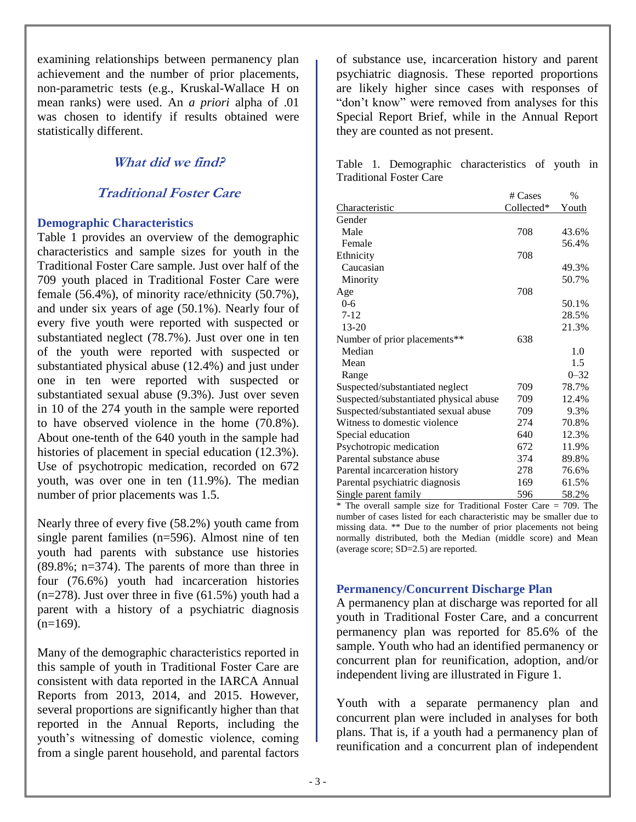examining relationships between permanency plan achievement and the number of prior placements, non-parametric tests (e.g., Kruskal-Wallace H on mean ranks) were used. An *a priori* alpha of .01 was chosen to identify if results obtained were statistically different.

# **What did we find?**

# **Traditional Foster Care**

#### **Demographic Characteristics**

Table 1 provides an overview of the demographic characteristics and sample sizes for youth in the Traditional Foster Care sample. Just over half of the 709 youth placed in Traditional Foster Care were female (56.4%), of minority race/ethnicity (50.7%), and under six years of age (50.1%). Nearly four of every five youth were reported with suspected or substantiated neglect (78.7%). Just over one in ten of the youth were reported with suspected or substantiated physical abuse (12.4%) and just under one in ten were reported with suspected or substantiated sexual abuse (9.3%). Just over seven in 10 of the 274 youth in the sample were reported to have observed violence in the home (70.8%). About one-tenth of the 640 youth in the sample had histories of placement in special education (12.3%). Use of psychotropic medication, recorded on 672 youth, was over one in ten (11.9%). The median number of prior placements was 1.5.

Nearly three of every five (58.2%) youth came from single parent families (n=596). Almost nine of ten youth had parents with substance use histories (89.8%; n=374). The parents of more than three in four (76.6%) youth had incarceration histories  $(n=278)$ . Just over three in five  $(61.5\%)$  youth had a parent with a history of a psychiatric diagnosis  $(n=169)$ .

Many of the demographic characteristics reported in this sample of youth in Traditional Foster Care are consistent with data reported in the IARCA Annual Reports from 2013, 2014, and 2015. However, several proportions are significantly higher than that reported in the Annual Reports, including the youth's witnessing of domestic violence, coming from a single parent household, and parental factors

of substance use, incarceration history and parent psychiatric diagnosis. These reported proportions are likely higher since cases with responses of "don't know" were removed from analyses for this Special Report Brief, while in the Annual Report they are counted as not present.

Table 1. Demographic characteristics of youth in Traditional Foster Care

|                                        | # Cases    | $\%$         |
|----------------------------------------|------------|--------------|
| Characteristic                         | Collected* | <u>Youth</u> |
| Gender                                 |            |              |
| Male                                   | 708        | 43.6%        |
| Female                                 |            | 56.4%        |
| Ethnicity                              | 708        |              |
| Caucasian                              |            | 49.3%        |
| Minority                               |            | 50.7%        |
| Age                                    | 708        |              |
| $0 - 6$                                |            | 50.1%        |
| $7 - 12$                               |            | 28.5%        |
| $13 - 20$                              |            | 21.3%        |
| Number of prior placements**           | 638        |              |
| Median                                 |            | 1.0          |
| Mean                                   |            | 1.5          |
| Range                                  |            | $0 - 32$     |
| Suspected/substantiated neglect        | 709        | 78.7%        |
| Suspected/substantiated physical abuse | 709        | 12.4%        |
| Suspected/substantiated sexual abuse   | 709        | 9.3%         |
| Witness to domestic violence           | 274        | 70.8%        |
| Special education                      | 640        | 12.3%        |
| Psychotropic medication                | 672        | 11.9%        |
| Parental substance abuse               | 374        | 89.8%        |
| Parental incarceration history         | 278        | 76.6%        |
| Parental psychiatric diagnosis         | 169        | 61.5%        |
| Single parent family                   | 596        | 58.2%        |

\* The overall sample size for Traditional Foster Care = 709. The number of cases listed for each characteristic may be smaller due to missing data. \*\* Due to the number of prior placements not being normally distributed, both the Median (middle score) and Mean (average score; SD=2.5) are reported.

#### **Permanency/Concurrent Discharge Plan**

A permanency plan at discharge was reported for all youth in Traditional Foster Care, and a concurrent permanency plan was reported for 85.6% of the sample. Youth who had an identified permanency or concurrent plan for reunification, adoption, and/or independent living are illustrated in Figure 1.

Youth with a separate permanency plan and concurrent plan were included in analyses for both plans. That is, if a youth had a permanency plan of reunification and a concurrent plan of independent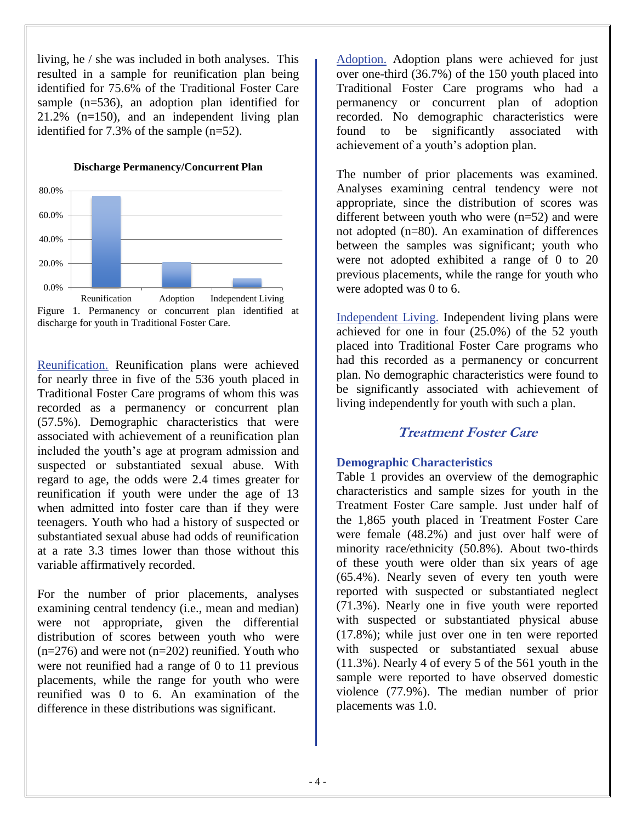living, he / she was included in both analyses. This resulted in a sample for reunification plan being identified for 75.6% of the Traditional Foster Care sample (n=536), an adoption plan identified for 21.2% (n=150), and an independent living plan identified for 7.3% of the sample (n=52).

**Discharge Permanency/Concurrent Plan**



discharge for youth in Traditional Foster Care.

Reunification. Reunification plans were achieved for nearly three in five of the 536 youth placed in Traditional Foster Care programs of whom this was recorded as a permanency or concurrent plan (57.5%). Demographic characteristics that were associated with achievement of a reunification plan included the youth's age at program admission and suspected or substantiated sexual abuse. With regard to age, the odds were 2.4 times greater for reunification if youth were under the age of 13 when admitted into foster care than if they were teenagers. Youth who had a history of suspected or substantiated sexual abuse had odds of reunification at a rate 3.3 times lower than those without this variable affirmatively recorded.

For the number of prior placements, analyses examining central tendency (i.e., mean and median) were not appropriate, given the differential distribution of scores between youth who were  $(n=276)$  and were not  $(n=202)$  reunified. Youth who were not reunified had a range of 0 to 11 previous placements, while the range for youth who were reunified was 0 to 6. An examination of the difference in these distributions was significant.

Adoption. Adoption plans were achieved for just over one-third (36.7%) of the 150 youth placed into Traditional Foster Care programs who had a permanency or concurrent plan of adoption recorded. No demographic characteristics were found to be significantly associated with achievement of a youth's adoption plan.

The number of prior placements was examined. Analyses examining central tendency were not appropriate, since the distribution of scores was different between youth who were (n=52) and were not adopted (n=80). An examination of differences between the samples was significant; youth who were not adopted exhibited a range of 0 to 20 previous placements, while the range for youth who were adopted was 0 to 6.

Independent Living. Independent living plans were achieved for one in four (25.0%) of the 52 youth placed into Traditional Foster Care programs who had this recorded as a permanency or concurrent plan. No demographic characteristics were found to be significantly associated with achievement of living independently for youth with such a plan.

# **Treatment Foster Care**

## **Demographic Characteristics**

Table 1 provides an overview of the demographic characteristics and sample sizes for youth in the Treatment Foster Care sample. Just under half of the 1,865 youth placed in Treatment Foster Care were female (48.2%) and just over half were of minority race/ethnicity (50.8%). About two-thirds of these youth were older than six years of age (65.4%). Nearly seven of every ten youth were reported with suspected or substantiated neglect (71.3%). Nearly one in five youth were reported with suspected or substantiated physical abuse (17.8%); while just over one in ten were reported with suspected or substantiated sexual abuse (11.3%). Nearly 4 of every 5 of the 561 youth in the sample were reported to have observed domestic violence (77.9%). The median number of prior placements was 1.0.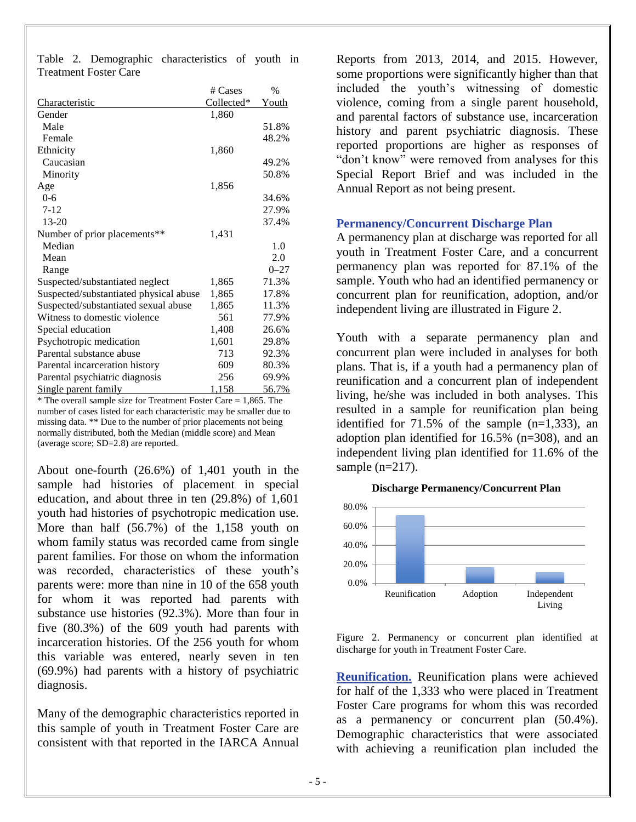Table 2. Demographic characteristics of youth in Treatment Foster Care

|                                        | # Cases    | $\%$         |
|----------------------------------------|------------|--------------|
| <b>Characteristic</b>                  | Collected* | <u>Youth</u> |
| Gender                                 | 1,860      |              |
| Male                                   |            | 51.8%        |
| Female                                 |            | 48.2%        |
| Ethnicity                              | 1,860      |              |
| Caucasian                              |            | 49.2%        |
| Minority                               |            | 50.8%        |
| Age                                    | 1,856      |              |
| $0 - 6$                                |            | 34.6%        |
| $7 - 12$                               |            | 27.9%        |
| 13-20                                  |            | 37.4%        |
| Number of prior placements**           | 1,431      |              |
| Median                                 |            | 1.0          |
| Mean                                   |            | 2.0          |
| Range                                  |            | $0 - 27$     |
| Suspected/substantiated neglect        | 1,865      | 71.3%        |
| Suspected/substantiated physical abuse | 1,865      | 17.8%        |
| Suspected/substantiated sexual abuse   | 1,865      | 11.3%        |
| Witness to domestic violence           | 561        | 77.9%        |
| Special education                      | 1,408      | 26.6%        |
| Psychotropic medication                | 1,601      | 29.8%        |
| Parental substance abuse               | 713        | 92.3%        |
| Parental incarceration history         | 609        | 80.3%        |
| Parental psychiatric diagnosis         | 256        | 69.9%        |
| Single parent family                   | 1,158      | 56.7%        |

 $*$  The overall sample size for Treatment Foster Care = 1,865. The number of cases listed for each characteristic may be smaller due to missing data. \*\* Due to the number of prior placements not being normally distributed, both the Median (middle score) and Mean (average score; SD=2.8) are reported.

About one-fourth (26.6%) of 1,401 youth in the sample had histories of placement in special education, and about three in ten (29.8%) of 1,601 youth had histories of psychotropic medication use. More than half (56.7%) of the 1,158 youth on whom family status was recorded came from single parent families. For those on whom the information was recorded, characteristics of these youth's parents were: more than nine in 10 of the 658 youth for whom it was reported had parents with substance use histories (92.3%). More than four in five (80.3%) of the 609 youth had parents with incarceration histories. Of the 256 youth for whom this variable was entered, nearly seven in ten (69.9%) had parents with a history of psychiatric diagnosis.

Many of the demographic characteristics reported in this sample of youth in Treatment Foster Care are consistent with that reported in the IARCA Annual

Reports from 2013, 2014, and 2015. However, some proportions were significantly higher than that included the youth's witnessing of domestic violence, coming from a single parent household, and parental factors of substance use, incarceration history and parent psychiatric diagnosis. These reported proportions are higher as responses of "don't know" were removed from analyses for this Special Report Brief and was included in the Annual Report as not being present.

#### **Permanency/Concurrent Discharge Plan**

A permanency plan at discharge was reported for all youth in Treatment Foster Care, and a concurrent permanency plan was reported for 87.1% of the sample. Youth who had an identified permanency or concurrent plan for reunification, adoption, and/or independent living are illustrated in Figure 2.

Youth with a separate permanency plan and concurrent plan were included in analyses for both plans. That is, if a youth had a permanency plan of reunification and a concurrent plan of independent living, he/she was included in both analyses. This resulted in a sample for reunification plan being identified for  $71.5\%$  of the sample  $(n=1,333)$ , an adoption plan identified for 16.5% (n=308), and an independent living plan identified for 11.6% of the sample (n=217).

**Discharge Permanency/Concurrent Plan**



Figure 2. Permanency or concurrent plan identified at discharge for youth in Treatment Foster Care.

**Reunification.** Reunification plans were achieved for half of the 1,333 who were placed in Treatment Foster Care programs for whom this was recorded as a permanency or concurrent plan (50.4%). Demographic characteristics that were associated with achieving a reunification plan included the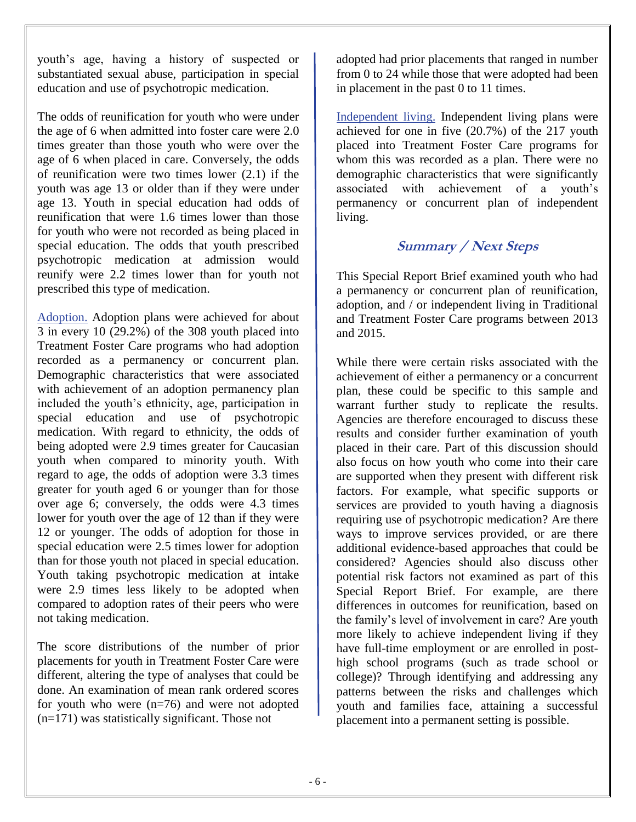youth's age, having a history of suspected or substantiated sexual abuse, participation in special education and use of psychotropic medication.

The odds of reunification for youth who were under the age of 6 when admitted into foster care were 2.0 times greater than those youth who were over the age of 6 when placed in care. Conversely, the odds of reunification were two times lower (2.1) if the youth was age 13 or older than if they were under age 13. Youth in special education had odds of reunification that were 1.6 times lower than those for youth who were not recorded as being placed in special education. The odds that youth prescribed psychotropic medication at admission would reunify were 2.2 times lower than for youth not prescribed this type of medication.

Adoption. Adoption plans were achieved for about 3 in every 10 (29.2%) of the 308 youth placed into Treatment Foster Care programs who had adoption recorded as a permanency or concurrent plan. Demographic characteristics that were associated with achievement of an adoption permanency plan included the youth's ethnicity, age, participation in special education and use of psychotropic medication. With regard to ethnicity, the odds of being adopted were 2.9 times greater for Caucasian youth when compared to minority youth. With regard to age, the odds of adoption were 3.3 times greater for youth aged 6 or younger than for those over age 6; conversely, the odds were 4.3 times lower for youth over the age of 12 than if they were 12 or younger. The odds of adoption for those in special education were 2.5 times lower for adoption than for those youth not placed in special education. Youth taking psychotropic medication at intake were 2.9 times less likely to be adopted when compared to adoption rates of their peers who were not taking medication.

The score distributions of the number of prior placements for youth in Treatment Foster Care were different, altering the type of analyses that could be done. An examination of mean rank ordered scores for youth who were  $(n=76)$  and were not adopted (n=171) was statistically significant. Those not

adopted had prior placements that ranged in number from 0 to 24 while those that were adopted had been in placement in the past 0 to 11 times.

Independent living. Independent living plans were achieved for one in five (20.7%) of the 217 youth placed into Treatment Foster Care programs for whom this was recorded as a plan. There were no demographic characteristics that were significantly associated with achievement of a youth's permanency or concurrent plan of independent living.

# **Summary / Next Steps**

This Special Report Brief examined youth who had a permanency or concurrent plan of reunification, adoption, and / or independent living in Traditional and Treatment Foster Care programs between 2013 and 2015.

While there were certain risks associated with the achievement of either a permanency or a concurrent plan, these could be specific to this sample and warrant further study to replicate the results. Agencies are therefore encouraged to discuss these results and consider further examination of youth placed in their care. Part of this discussion should also focus on how youth who come into their care are supported when they present with different risk factors. For example, what specific supports or services are provided to youth having a diagnosis requiring use of psychotropic medication? Are there ways to improve services provided, or are there additional evidence-based approaches that could be considered? Agencies should also discuss other potential risk factors not examined as part of this Special Report Brief. For example, are there differences in outcomes for reunification, based on the family's level of involvement in care? Are youth more likely to achieve independent living if they have full-time employment or are enrolled in posthigh school programs (such as trade school or college)? Through identifying and addressing any patterns between the risks and challenges which youth and families face, attaining a successful placement into a permanent setting is possible.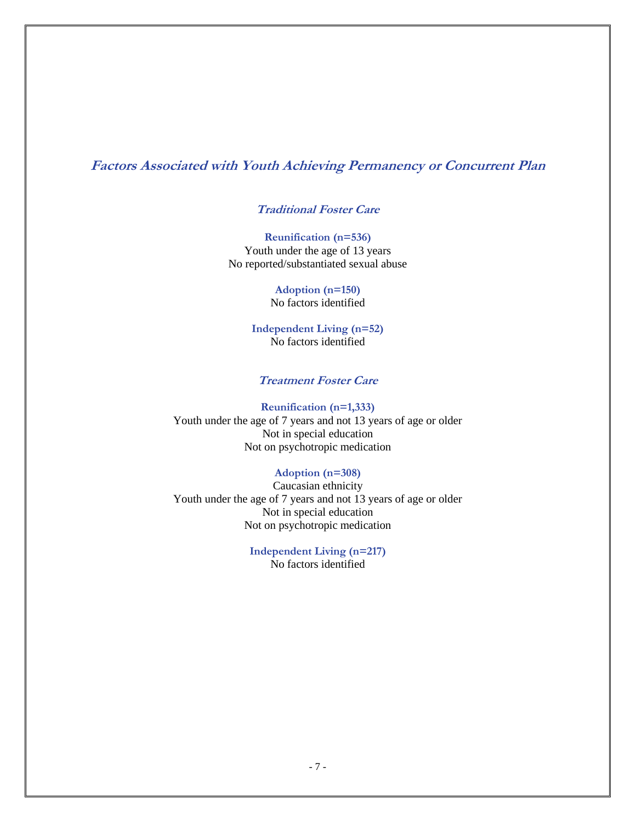## **Factors Associated with Youth Achieving Permanency or Concurrent Plan**

#### **Traditional Foster Care**

**Reunification (n=536)** Youth under the age of 13 years No reported/substantiated sexual abuse

> **Adoption (n=150)**  No factors identified

**Independent Living (n=52)**  No factors identified

#### **Treatment Foster Care**

**Reunification (n=1,333)**  Youth under the age of 7 years and not 13 years of age or older Not in special education Not on psychotropic medication

#### **Adoption (n=308)**

Caucasian ethnicity Youth under the age of 7 years and not 13 years of age or older Not in special education Not on psychotropic medication

#### **Independent Living (n=217)**  No factors identified